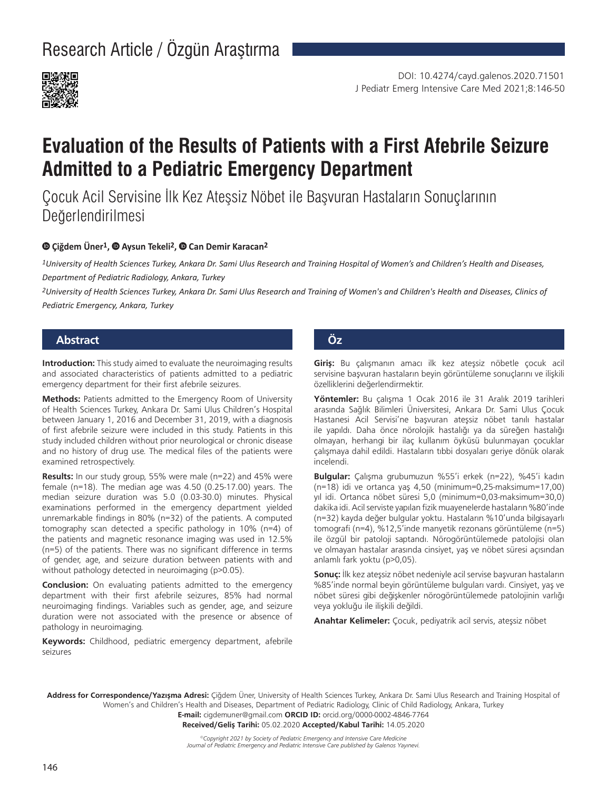Research Article / Özgün Araştırma



# **Evaluation of the Results of Patients with a First Afebrile Seizure Admitted to a Pediatric Emergency Department**

Çocuk Acil Servisine İlk Kez Ateşsiz Nöbet ile Başvuran Hastaların Sonuçlarının Değerlendirilmesi

#### **Çiğdem Üner1,Aysun Tekeli2,Can Demir Karacan2**

*1University of Health Sciences Turkey, Ankara Dr. Sami Ulus Research and Training Hospital of Women's and Children's Health and Diseases, Department of Pediatric Radiology, Ankara, Turkey*

*2University of Health Sciences Turkey, Ankara Dr. Sami Ulus Research and Training of Women's and Children's Health and Diseases, Clinics of Pediatric Emergency, Ankara, Turkey*

# **Abstract Öz**

**Introduction:** This study aimed to evaluate the neuroimaging results and associated characteristics of patients admitted to a pediatric emergency department for their first afebrile seizures.

**Methods:** Patients admitted to the Emergency Room of University of Health Sciences Turkey, Ankara Dr. Sami Ulus Children's Hospital between January 1, 2016 and December 31, 2019, with a diagnosis of first afebrile seizure were included in this study. Patients in this study included children without prior neurological or chronic disease and no history of drug use. The medical files of the patients were examined retrospectively.

**Results:** In our study group, 55% were male (n=22) and 45% were female (n=18). The median age was 4.50 (0.25-17.00) years. The median seizure duration was 5.0 (0.03-30.0) minutes. Physical examinations performed in the emergency department yielded unremarkable findings in 80% (n=32) of the patients. A computed tomography scan detected a specific pathology in 10% (n=4) of the patients and magnetic resonance imaging was used in 12.5% (n=5) of the patients. There was no significant difference in terms of gender, age, and seizure duration between patients with and without pathology detected in neuroimaging (p>0.05).

**Conclusion:** On evaluating patients admitted to the emergency department with their first afebrile seizures, 85% had normal neuroimaging findings. Variables such as gender, age, and seizure duration were not associated with the presence or absence of pathology in neuroimaging.

**Keywords:** Childhood, pediatric emergency department, afebrile seizures

**Giriş:** Bu çalışmanın amacı ilk kez ateşsiz nöbetle çocuk acil servisine başvuran hastaların beyin görüntüleme sonuçlarını ve ilişkili özelliklerini değerlendirmektir.

**Yöntemler:** Bu çalışma 1 Ocak 2016 ile 31 Aralık 2019 tarihleri arasında Sağlık Bilimleri Üniversitesi, Ankara Dr. Sami Ulus Çocuk Hastanesi Acil Servisi'ne başvuran ateşsiz nöbet tanılı hastalar ile yapıldı. Daha önce nörolojik hastalığı ya da süreğen hastalığı olmayan, herhangi bir ilaç kullanım öyküsü bulunmayan çocuklar çalışmaya dahil edildi. Hastaların tıbbi dosyaları geriye dönük olarak incelendi.

**Bulgular:** Çalışma grubumuzun %55'i erkek (n=22), %45'i kadın (n=18) idi ve ortanca yaş 4,50 (minimum=0,25-maksimum=17,00) yıl idi. Ortanca nöbet süresi 5,0 (minimum=0,03-maksimum=30,0) dakika idi. Acil serviste yapılan fizik muayenelerde hastaların %80'inde (n=32) kayda değer bulgular yoktu. Hastaların %10'unda bilgisayarlı tomografi (n=4), %12,5'inde manyetik rezonans görüntüleme (n=5) ile özgül bir patoloji saptandı. Nörogörüntülemede patolojisi olan ve olmayan hastalar arasında cinsiyet, yaş ve nöbet süresi açısından anlamlı fark yoktu (p>0,05).

**Sonuç:** İlk kez ateşsiz nöbet nedeniyle acil servise başvuran hastaların %85'inde normal beyin görüntüleme bulguları vardı. Cinsiyet, yaş ve nöbet süresi gibi değişkenler nörogörüntülemede patolojinin varlığı veya yokluğu ile ilişkili değildi.

**Anahtar Kelimeler:** Çocuk, pediyatrik acil servis, ateşsiz nöbet

**Address for Correspondence/Yazışma Adresi:** Çiğdem Üner, University of Health Sciences Turkey, Ankara Dr. Sami Ulus Research and Training Hospital of Women's and Children's Health and Diseases, Department of Pediatric Radiology, Clinic of Child Radiology, Ankara, Turkey

**E-mail:** cigdemuner@gmail.com **ORCID ID:** orcid.org/0000-0002-4846-7764

**Received/Geliş Tarihi:** 05.02.2020 **Accepted/Kabul Tarihi:** 14.05.2020

*©Copyright 2021 by Society of Pediatric Emergency and Intensive Care Medicine Journal of Pediatric Emergency and Pediatric Intensive Care published by Galenos Yayınevi.*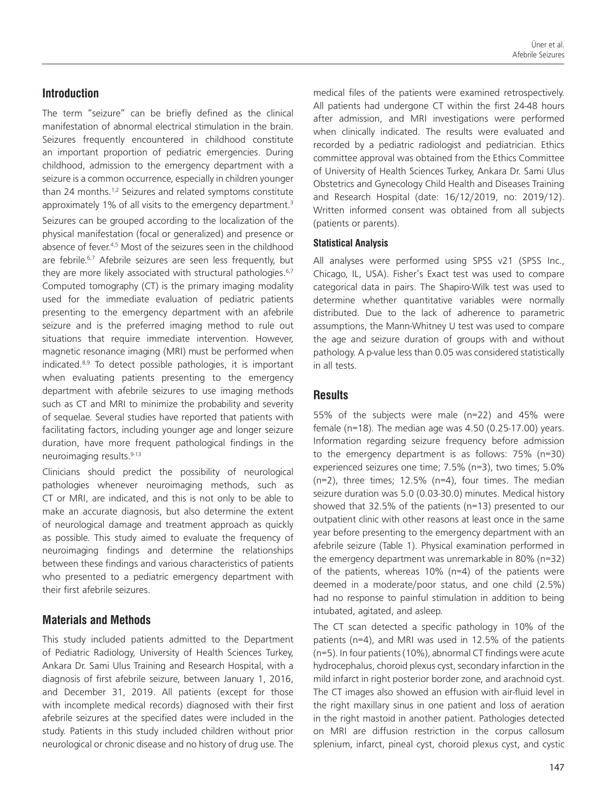## **Introduction**

The term "seizure" can be briefly defined as the clinical manifestation of abnormal electrical stimulation in the brain. Seizures frequently encountered in childhood constitute an important proportion of pediatric emergencies. During childhood, admission to the emergency department with a seizure is a common occurrence, especially in children younger than 24 months.<sup>1,2</sup> Seizures and related symptoms constitute approximately 1% of all visits to the emergency department.<sup>3</sup> Seizures can be grouped according to the localization of the physical manifestation (focal or generalized) and presence or absence of fever.<sup>4,5</sup> Most of the seizures seen in the childhood are febrile.<sup>6,7</sup> Afebrile seizures are seen less frequently, but they are more likely associated with structural pathologies.<sup>6,7</sup> Computed tomography (CT) is the primary imaging modality used for the immediate evaluation of pediatric patients presenting to the emergency department with an afebrile seizure and is the preferred imaging method to rule out situations that require immediate intervention. However, magnetic resonance imaging (MRI) must be performed when indicated.8,9 To detect possible pathologies, it is important when evaluating patients presenting to the emergency department with afebrile seizures to use imaging methods such as CT and MRI to minimize the probability and severity of sequelae. Several studies have reported that patients with facilitating factors, including younger age and longer seizure duration, have more frequent pathological findings in the neuroimaging results.<sup>9-13</sup>

Clinicians should predict the possibility of neurological pathologies whenever neuroimaging methods, such as CT or MRI, are indicated, and this is not only to be able to make an accurate diagnosis, but also determine the extent of neurological damage and treatment approach as quickly as possible. This study aimed to evaluate the frequency of neuroimaging findings and determine the relationships between these findings and various characteristics of patients who presented to a pediatric emergency department with their first afebrile seizures.

#### **Materials and Methods**

This study included patients admitted to the Department of Pediatric Radiology, University of Health Sciences Turkey, Ankara Dr. Sami Ulus Training and Research Hospital, with a diagnosis of first afebrile seizure, between January 1, 2016, and December 31, 2019. All patients (except for those with incomplete medical records) diagnosed with their first afebrile seizures at the specified dates were included in the study. Patients in this study included children without prior neurological or chronic disease and no history of drug use. The medical files of the patients were examined retrospectively. All patients had undergone CT within the first 24-48 hours after admission, and MRI investigations were performed when clinically indicated. The results were evaluated and recorded by a pediatric radiologist and pediatrician. Ethics committee approval was obtained from the Ethics Committee of University of Health Sciences Turkey, Ankara Dr. Sami Ulus Obstetrics and Gynecology Child Health and Diseases Training and Research Hospital (date: 16/12/2019, no: 2019/12). Written informed consent was obtained from all subjects (patients or parents).

#### **Statistical Analysis**

All analyses were performed using SPSS v21 (SPSS Inc., Chicago, IL, USA). Fisher's Exact test was used to compare categorical data in pairs. The Shapiro-Wilk test was used to determine whether quantitative variables were normally distributed. Due to the lack of adherence to parametric assumptions, the Mann-Whitney U test was used to compare the age and seizure duration of groups with and without pathology. A p-value less than 0.05 was considered statistically in all tests.

#### **Results**

55% of the subjects were male (n=22) and 45% were female (n=18). The median age was 4.50 (0.25-17.00) years. Information regarding seizure frequency before admission to the emergency department is as follows: 75% (n=30) experienced seizures one time; 7.5% (n=3), two times; 5.0% (n=2), three times; 12.5% (n=4), four times. The median seizure duration was 5.0 (0.03-30.0) minutes. Medical history showed that 32.5% of the patients (n=13) presented to our outpatient clinic with other reasons at least once in the same year before presenting to the emergency department with an afebrile seizure (Table 1). Physical examination performed in the emergency department was unremarkable in 80% (n=32) of the patients, whereas 10% (n=4) of the patients were deemed in a moderate/poor status, and one child (2.5%) had no response to painful stimulation in addition to being intubated, agitated, and asleep.

The CT scan detected a specific pathology in 10% of the patients (n=4), and MRI was used in 12.5% of the patients (n=5). In four patients (10%), abnormal CT findings were acute hydrocephalus, choroid plexus cyst, secondary infarction in the mild infarct in right posterior border zone, and arachnoid cyst. The CT images also showed an effusion with air-fluid level in the right maxillary sinus in one patient and loss of aeration in the right mastoid in another patient. Pathologies detected on MRI are diffusion restriction in the corpus callosum splenium, infarct, pineal cyst, choroid plexus cyst, and cystic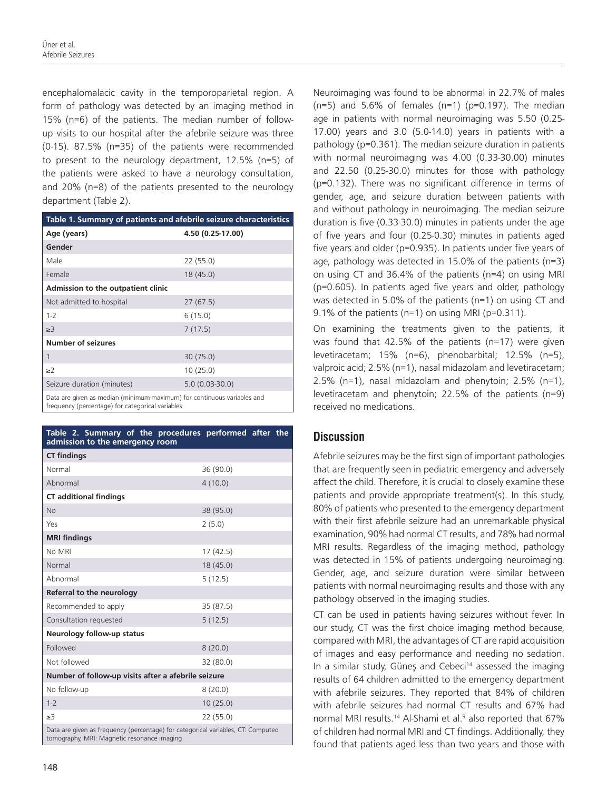encephalomalacic cavity in the temporoparietal region. A form of pathology was detected by an imaging method in 15% (n=6) of the patients. The median number of followup visits to our hospital after the afebrile seizure was three (0-15). 87.5% (n=35) of the patients were recommended to present to the neurology department, 12.5% (n=5) of the patients were asked to have a neurology consultation, and 20% (n=8) of the patients presented to the neurology department (Table 2).

| Table 1. Summary of patients and afebrile seizure characteristics                                                           |                   |
|-----------------------------------------------------------------------------------------------------------------------------|-------------------|
| Age (years)                                                                                                                 | 4.50 (0.25-17.00) |
| Gender                                                                                                                      |                   |
| Male                                                                                                                        | 22(55.0)          |
| Female                                                                                                                      | 18(45.0)          |
| Admission to the outpatient clinic                                                                                          |                   |
| Not admitted to hospital                                                                                                    | 27(67.5)          |
| $1 - 2$                                                                                                                     | 6(15.0)           |
| $\geq$ 3                                                                                                                    | 7(17.5)           |
| <b>Number of seizures</b>                                                                                                   |                   |
| 1                                                                                                                           | 30(75.0)          |
| $\geq$ 2                                                                                                                    | 10(25.0)          |
| Seizure duration (minutes)                                                                                                  | $5.0(0.03-30.0)$  |
| Data are given as median (minimum-maximum) for continuous variables and<br>frequency (percentage) for categorical variables |                   |

**Table 2. Summary of the procedures performed after the admission to the emergency room CT findings** Normal 36 (90.0) Abnormal 4 (10.0) **CT additional findings** No 38 (95.0) Yes 2 (5.0) **MRI findings** No MRI 17 (42.5) Normal 18 (45.0) Abnormal 5 (12.5) **Referral to the neurology** Recommended to apply 35 (87.5) Consultation requested 5 (12.5) **Neurology follow-up status** Followed 8 (20.0) Not followed 32 (80.0) **Number of follow-up visits after a afebrile seizure** No follow-up  $8(20.0)$ 1-2 10 (25.0)  $≥3$  22 (55.0) Data are given as frequency (percentage) for categorical variables, CT: Computed tomography, MRI: Magnetic resonance imaging

Neuroimaging was found to be abnormal in 22.7% of males  $(n=5)$  and 5.6% of females  $(n=1)$  (p=0.197). The median age in patients with normal neuroimaging was 5.50 (0.25- 17.00) years and 3.0 (5.0-14.0) years in patients with a pathology (p=0.361). The median seizure duration in patients with normal neuroimaging was 4.00 (0.33-30.00) minutes and 22.50 (0.25-30.0) minutes for those with pathology (p=0.132). There was no significant difference in terms of gender, age, and seizure duration between patients with and without pathology in neuroimaging. The median seizure duration is five (0.33-30.0) minutes in patients under the age of five years and four (0.25-0.30) minutes in patients aged five years and older (p=0.935). In patients under five years of age, pathology was detected in 15.0% of the patients (n=3) on using CT and 36.4% of the patients (n=4) on using MRI (p=0.605). In patients aged five years and older, pathology was detected in 5.0% of the patients (n=1) on using CT and 9.1% of the patients ( $n=1$ ) on using MRI ( $p=0.311$ ).

On examining the treatments given to the patients, it was found that 42.5% of the patients (n=17) were given levetiracetam; 15% (n=6), phenobarbital; 12.5% (n=5), valproic acid; 2.5% (n=1), nasal midazolam and levetiracetam; 2.5% (n=1), nasal midazolam and phenytoin; 2.5% (n=1), levetiracetam and phenytoin; 22.5% of the patients (n=9) received no medications.

# **Discussion**

Afebrile seizures may be the first sign of important pathologies that are frequently seen in pediatric emergency and adversely affect the child. Therefore, it is crucial to closely examine these patients and provide appropriate treatment(s). In this study, 80% of patients who presented to the emergency department with their first afebrile seizure had an unremarkable physical examination, 90% had normal CT results, and 78% had normal MRI results. Regardless of the imaging method, pathology was detected in 15% of patients undergoing neuroimaging. Gender, age, and seizure duration were similar between patients with normal neuroimaging results and those with any pathology observed in the imaging studies.

CT can be used in patients having seizures without fever. In our study, CT was the first choice imaging method because, compared with MRI, the advantages of CT are rapid acquisition of images and easy performance and needing no sedation. In a similar study, Güneş and Cebeci<sup>14</sup> assessed the imaging results of 64 children admitted to the emergency department with afebrile seizures. They reported that 84% of children with afebrile seizures had normal CT results and 67% had normal MRI results.<sup>14</sup> Al-Shami et al.<sup>9</sup> also reported that 67% of children had normal MRI and CT findings. Additionally, they found that patients aged less than two years and those with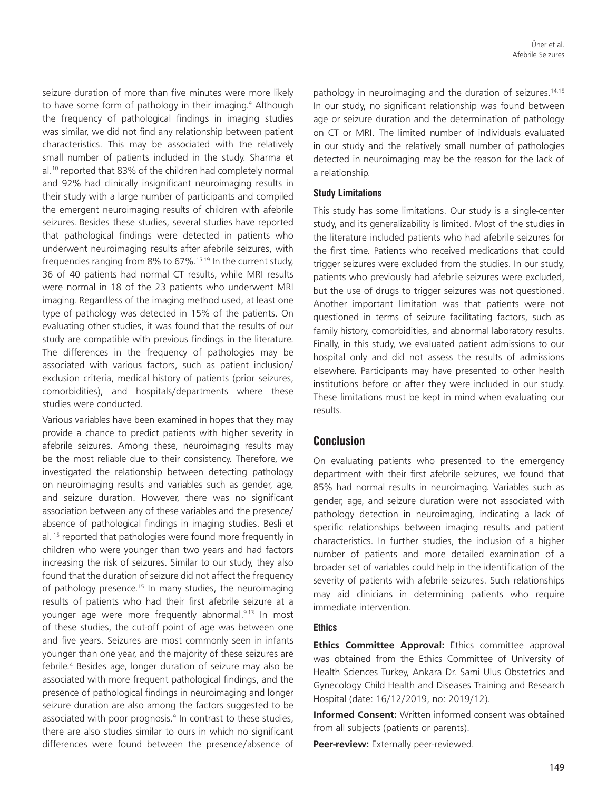seizure duration of more than five minutes were more likely to have some form of pathology in their imaging.<sup>9</sup> Although the frequency of pathological findings in imaging studies was similar, we did not find any relationship between patient characteristics. This may be associated with the relatively small number of patients included in the study. Sharma et al.<sup>10</sup> reported that 83% of the children had completely normal and 92% had clinically insignificant neuroimaging results in their study with a large number of participants and compiled the emergent neuroimaging results of children with afebrile seizures. Besides these studies, several studies have reported that pathological findings were detected in patients who underwent neuroimaging results after afebrile seizures, with frequencies ranging from 8% to 67%.<sup>15-19</sup> In the current study, 36 of 40 patients had normal CT results, while MRI results were normal in 18 of the 23 patients who underwent MRI imaging. Regardless of the imaging method used, at least one type of pathology was detected in 15% of the patients. On evaluating other studies, it was found that the results of our study are compatible with previous findings in the literature. The differences in the frequency of pathologies may be associated with various factors, such as patient inclusion/ exclusion criteria, medical history of patients (prior seizures, comorbidities), and hospitals/departments where these studies were conducted.

Various variables have been examined in hopes that they may provide a chance to predict patients with higher severity in afebrile seizures. Among these, neuroimaging results may be the most reliable due to their consistency. Therefore, we investigated the relationship between detecting pathology on neuroimaging results and variables such as gender, age, and seizure duration. However, there was no significant association between any of these variables and the presence/ absence of pathological findings in imaging studies. Besli et al.<sup>15</sup> reported that pathologies were found more frequently in children who were younger than two years and had factors increasing the risk of seizures. Similar to our study, they also found that the duration of seizure did not affect the frequency of pathology presence.<sup>15</sup> In many studies, the neuroimaging results of patients who had their first afebrile seizure at a younger age were more frequently abnormal.<sup>9-13</sup> In most of these studies, the cut-off point of age was between one and five years. Seizures are most commonly seen in infants younger than one year, and the majority of these seizures are febrile.<sup>4</sup> Besides age, longer duration of seizure may also be associated with more frequent pathological findings, and the presence of pathological findings in neuroimaging and longer seizure duration are also among the factors suggested to be associated with poor prognosis.<sup>9</sup> In contrast to these studies, there are also studies similar to ours in which no significant differences were found between the presence/absence of pathology in neuroimaging and the duration of seizures.<sup>14,15</sup> In our study, no significant relationship was found between age or seizure duration and the determination of pathology on CT or MRI. The limited number of individuals evaluated in our study and the relatively small number of pathologies detected in neuroimaging may be the reason for the lack of a relationship.

#### **Study Limitations**

This study has some limitations. Our study is a single-center study, and its generalizability is limited. Most of the studies in the literature included patients who had afebrile seizures for the first time. Patients who received medications that could trigger seizures were excluded from the studies. In our study, patients who previously had afebrile seizures were excluded, but the use of drugs to trigger seizures was not questioned. Another important limitation was that patients were not questioned in terms of seizure facilitating factors, such as family history, comorbidities, and abnormal laboratory results. Finally, in this study, we evaluated patient admissions to our hospital only and did not assess the results of admissions elsewhere. Participants may have presented to other health institutions before or after they were included in our study. These limitations must be kept in mind when evaluating our results.

# **Conclusion**

On evaluating patients who presented to the emergency department with their first afebrile seizures, we found that 85% had normal results in neuroimaging. Variables such as gender, age, and seizure duration were not associated with pathology detection in neuroimaging, indicating a lack of specific relationships between imaging results and patient characteristics. In further studies, the inclusion of a higher number of patients and more detailed examination of a broader set of variables could help in the identification of the severity of patients with afebrile seizures. Such relationships may aid clinicians in determining patients who require immediate intervention.

#### **Ethics**

**Ethics Committee Approval:** Ethics committee approval was obtained from the Ethics Committee of University of Health Sciences Turkey, Ankara Dr. Sami Ulus Obstetrics and Gynecology Child Health and Diseases Training and Research Hospital (date: 16/12/2019, no: 2019/12).

**Informed Consent:** Written informed consent was obtained from all subjects (patients or parents).

Peer-review: Externally peer-reviewed.